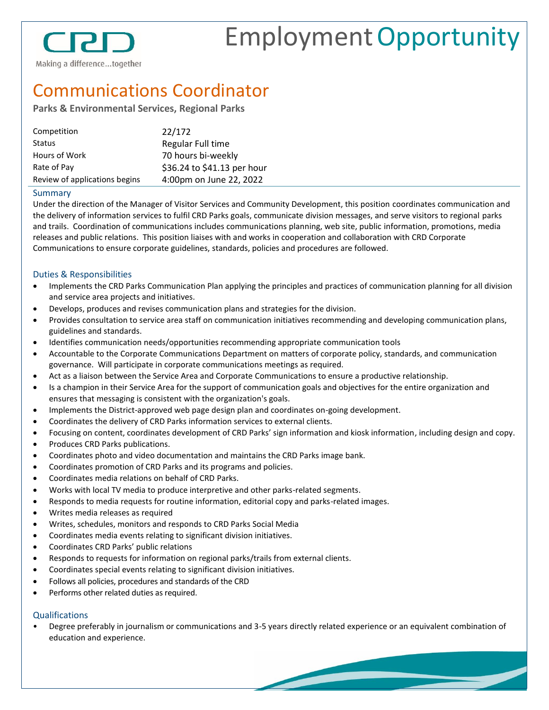

# EmploymentOpportunity

# Communications Coordinator

### **Parks & Environmental Services, Regional Parks**

| Competition                   | 22/172                      |
|-------------------------------|-----------------------------|
| Status                        | Regular Full time           |
| Hours of Work                 | 70 hours bi-weekly          |
| Rate of Pay                   | \$36.24 to \$41.13 per hour |
| Review of applications begins | 4:00pm on June 22, 2022     |

#### Summary

Under the direction of the Manager of Visitor Services and Community Development, this position coordinates communication and the delivery of information services to fulfil CRD Parks goals, communicate division messages, and serve visitors to regional parks and trails. Coordination of communications includes communications planning, web site, public information, promotions, media releases and public relations. This position liaises with and works in cooperation and collaboration with CRD Corporate Communications to ensure corporate guidelines, standards, policies and procedures are followed.

#### Duties & Responsibilities

- Implements the CRD Parks Communication Plan applying the principles and practices of communication planning for all division and service area projects and initiatives.
- Develops, produces and revises communication plans and strategies for the division.
- Provides consultation to service area staff on communication initiatives recommending and developing communication plans, guidelines and standards.
- Identifies communication needs/opportunities recommending appropriate communication tools
- Accountable to the Corporate Communications Department on matters of corporate policy, standards, and communication governance. Will participate in corporate communications meetings as required.
- Act as a liaison between the Service Area and Corporate Communications to ensure a productive relationship.
- Is a champion in their Service Area for the support of communication goals and objectives for the entire organization and ensures that messaging is consistent with the organization's goals.
- Implements the District-approved web page design plan and coordinates on-going development.
- Coordinates the delivery of CRD Parks information services to external clients.
- Focusing on content, coordinates development of CRD Parks' sign information and kiosk information, including design and copy.
- Produces CRD Parks publications.
- Coordinates photo and video documentation and maintains the CRD Parks image bank.
- Coordinates promotion of CRD Parks and its programs and policies.
- Coordinates media relations on behalf of CRD Parks.
- Works with local TV media to produce interpretive and other parks-related segments.
- Responds to media requests for routine information, editorial copy and parks-related images.
- Writes media releases as required
- Writes, schedules, monitors and responds to CRD Parks Social Media
- Coordinates media events relating to significant division initiatives.
- Coordinates CRD Parks' public relations
- Responds to requests for information on regional parks/trails from external clients.
- Coordinates special events relating to significant division initiatives.
- Follows all policies, procedures and standards of the CRD
- Performs other related duties as required.

## **Qualifications**

• Degree preferably in journalism or communications and 3-5 years directly related experience or an equivalent combination of education and experience.